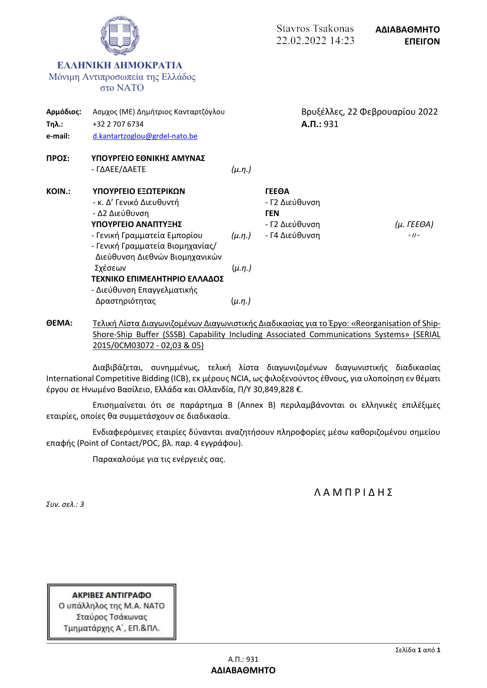

**ΘΕΜΑ:** Τελική Λίστα Διαγωνιζομένων Διαγωνιστικής Διαδικασίας για το Έργο: «Reorganisation of Ship-Shore-Ship Buffer (SSSB) Capability Including Associated Communications Systems» (SERIAL 2015/0CM03072 - 02,03 & 05)

Διαβιβάζεται, συνημμένως, τελική λίστα διαγωνιζομένων διαγωνιστικής διαδικασίας International Competitive Bidding (ICB), εκ μέρους NCIA, ως φιλοξενούντος έθνους, για υλοποίηση εν θέματι έργου σε Ηνωμένο Βασίλειο, Ελλάδα και Ολλανδία, Π/Υ 30,849,828 €.

Επισημαίνεται ότι σε παράρτημα Β (Annex B) περιλαμβάνονται οι ελληνικές επιλέξιμες εταιρίες, οποίες θα συμμετάσχουν σε διαδικασία.

Ενδιαφερόμενες εταιρίες δύνανται αναζητήσουν πληροφορίες μέσω καθοριζομένου σημείου επαφής (Point of Contact/POC, βλ. παρ. 4 εγγράφου).

Παρακαλούμε για τις ενέργειές σας.

Λ Α Μ Π Ρ Ι Δ Η Σ

*Συν. σελ.: 3*

ΑΚΡΙΒΕΣ ΑΝΤΙΓΡΑΦΟ Ο υπάλληλος της Μ.Α. ΝΑΤΟ Σταύρος Τσάκωνας Τμηματάρχης Α΄, ΕΠ.&ΠΛ.

**-------------------------------------------------------------------------------------------------------------------------------------------------------------------------------------------------------------------------------------------------------------------------------------------------**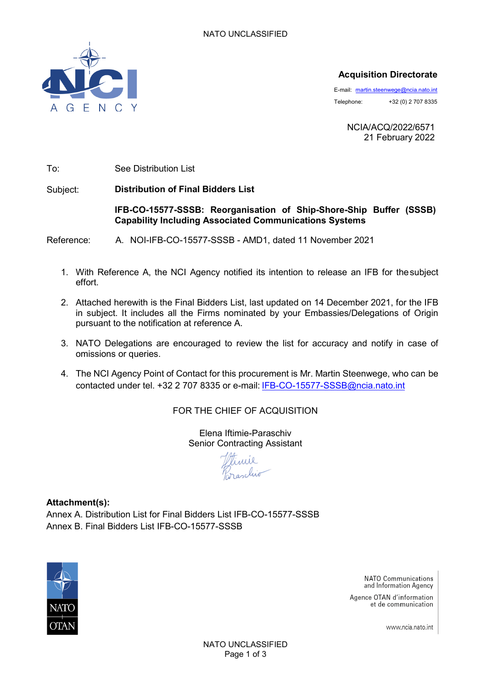

## **Acquisition Directorate**

E-mail: [martin.steenwege@ncia.nato.int](mailto:martin.steenwege@ncia.nato.int) Telephone: +32 (0) 2 707 8335

> NCIA/ACQ/2022/6571 21 February 2022

To: See Distribution List

Subject: **Distribution of Final Bidders List**

### **IFB-CO-15577-SSSB: Reorganisation of Ship-Shore-Ship Buffer (SSSB) Capability Including Associated Communications Systems**

Reference: A. NOI-IFB-CO-15577-SSSB - AMD1, dated 11 November 2021

- 1. With Reference A, the NCI Agency notified its intention to release an IFB for thesubject effort.
- 2. Attached herewith is the Final Bidders List, last updated on 14 December 2021, for the IFB in subject. It includes all the Firms nominated by your Embassies/Delegations of Origin pursuant to the notification at reference A.
- 3. NATO Delegations are encouraged to review the list for accuracy and notify in case of omissions or queries.
- 4. The NCI Agency Point of Contact for this procurement is Mr. Martin Steenwege, who can be contacted under tel. +32 2 707 8335 or e-mail: IFB-CO-15577-SSSB@ncia.nato.int

FOR THE CHIEF OF ACQUISITION

Elena Iftimie-Paraschiv Senior Contracting Assistant

**Attachment(s):** Annex A. Distribution List for Final Bidders List IFB-CO-15577-SSSB Annex B. Final Bidders List IFB-CO-15577-SSSB



NATO Communications and Information Agency

Agence OTAN d'information et de communication

www.ncia.nato.int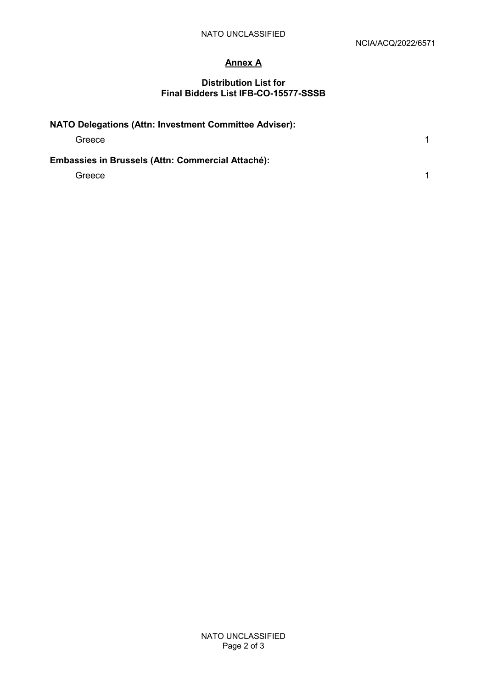## **Annex A**

#### **Distribution List for Final Bidders List IFB-CO-15577-SSSB**

| NATO Delegations (Attn: Investment Committee Adviser): |  |
|--------------------------------------------------------|--|
| Greece                                                 |  |
| Embassies in Brussels (Attn: Commercial Attaché):      |  |
| Greece                                                 |  |